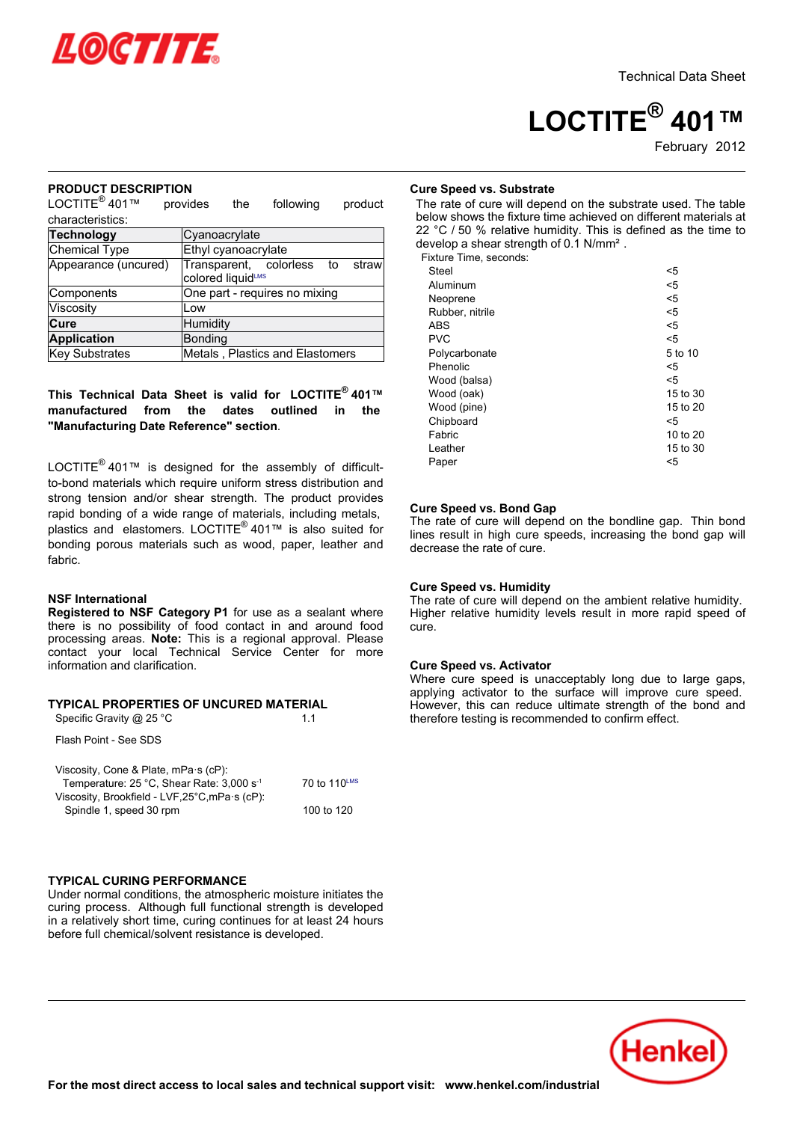

# **LOCTITE® 401™**

# February 2012

### **PRODUCT DESCRIPTION**

L NODOOL DEOC provides the following product characteristics:

| <b>Technology</b>    | Cyanoacrylate                                           |  |  |  |  |
|----------------------|---------------------------------------------------------|--|--|--|--|
| Chemical Type        | Ethyl cyanoacrylate                                     |  |  |  |  |
| Appearance (uncured) | Transparent, colorless to<br>straw<br>colored liquidLMS |  |  |  |  |
| Components           | One part - requires no mixing                           |  |  |  |  |
| Viscosity            | Low                                                     |  |  |  |  |
| Cure                 | Humidity                                                |  |  |  |  |
| <b>Application</b>   | Bonding                                                 |  |  |  |  |
| Key Substrates       | Metals, Plastics and Elastomers                         |  |  |  |  |

### **This Technical Data Sheet is valid for LOCTITE® 401™manufactured from the dates outlined in the "Manufacturing Date Reference" section**.

LOCTITE<sup>®</sup> 401™ is designed for the assembly of difficultto-bond materials which require uniform stress distribution and strong tension and/or shear strength. The product provides rapid bonding of a wide range of materials, including metals, rapid bonding of a mac farigo of materials, installing motals,<br>plastics and elastomers. LOCTITE<sup>®</sup> 401™ is also suited for bonding porous materials such as wood, paper, leather and fabric.

### **NSF International**

**Registered to NSF Category P1** for use as a sealant where there is no possibility of food contact in and around food processing areas. **Note:** This is a regional approval. Please processing areas. **Note:** This is a regional approval. I lease<br>contact your local Technical Service Center for more information and clarification.

### **TYPICAL PROPERTIES OF UNCURED MATERIAL**

Specific Gravity @  $25 °C$  1.1 Flash Point - See SDS

| Viscosity, Cone & Plate, mPa s (cP):                  |              |
|-------------------------------------------------------|--------------|
| Temperature: 25 °C, Shear Rate: 3,000 s <sup>-1</sup> | 70 to 110LMS |
| Viscosity, Brookfield - LVF,25°C, mPa·s (cP):         |              |
| Spindle 1, speed 30 rpm                               | 100 to 120   |

# **Cure Speed vs. Substrate**

The rate of cure will depend on the substrate used. The table below shows the fixture time achieved on different materials at 22 °C / 50 % relative humidity. This is defined as the time to develop a shear strength of 0.1 N/mm<sup>2</sup>. Fixture Time, seconds:

| <5       |
|----------|
| $5$      |
| <5       |
| $5$      |
| $5$      |
| $5$      |
| 5 to 10  |
| <5       |
| <5       |
| 15 to 30 |
| 15 to 20 |
| <5       |
| 10 to 20 |
| 15 to 30 |
| <5       |
|          |

# **Cure Speed vs. Bond Gap**

oure opeed vs. Dond Gap<br>The rate of cure will depend on the bondline gap. Thin bond The rate of eare will depend on the bondline gap. Thin bond<br>lines result in high cure speeds, increasing the bond gap will mics result in riight cure.<br>decrease the rate of cure.

### **Cure Speed vs. Humidity**

**The rate of cure will depend on the ambient relative humidity.** The rate of eare will depend on the ambient relative humany.<br>Higher relative humidity levels result in more rapid speed of cure.

### **Cure Speed vs. Activator**

Where cure speed is unacceptably long due to large gaps, where care speed is anacceptably long dae to large gaps,<br>applying activator to the surface will improve cure speed. applying activator to the sanace will improve care speed.<br>However, this can reduce ultimate strength of the bond and therefore testing is recommended to confirm effect.

### **TYPICAL CURING PERFORMANCE** Under normal conditions, the atmospheric moisture initiates the

curing process. Although full functional strength is developed canny process. Annoagh fair fancaonar sa'engar is developed<br>in a relatively short time, curing continues for at least 24 hours before full chemical/solvent resistance is developed.

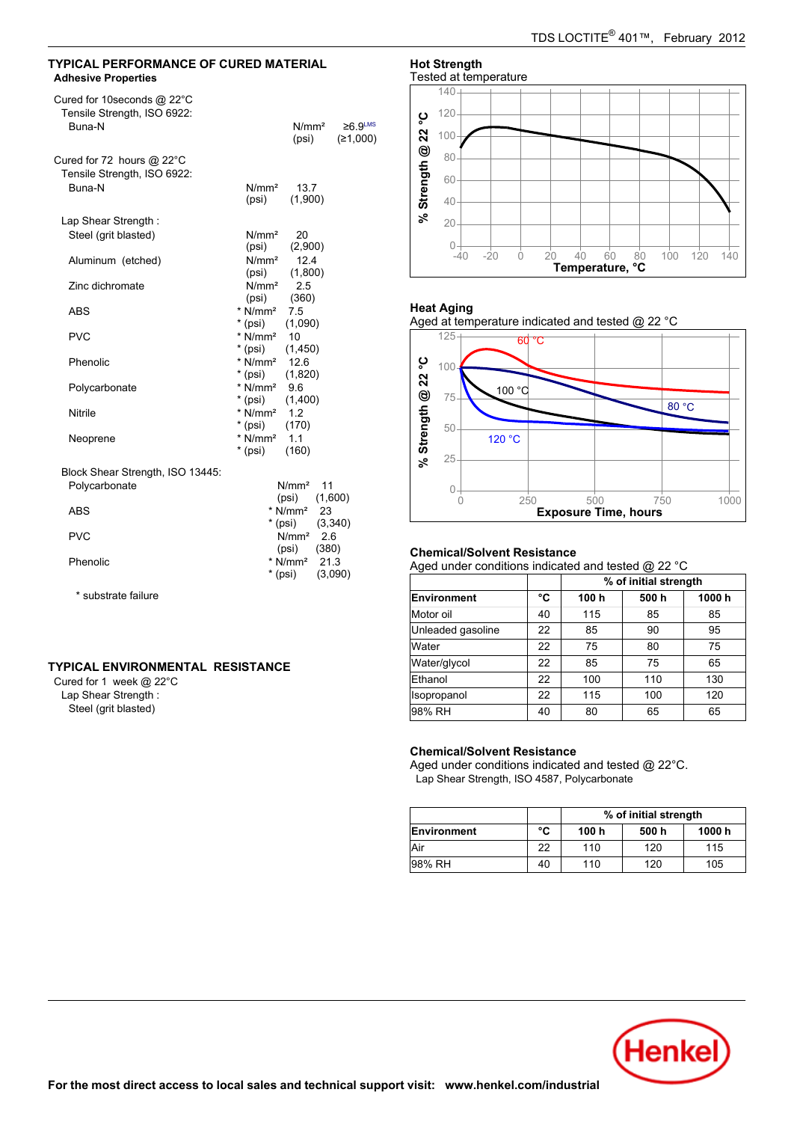### **TYPICAL PERFORMANCE OF CURED MATERIAL Adhesive Properties**

| Cured for 10 seconds @ 22°C<br>Tensile Strength, ISO 6922:<br>Buna-N | $≥6.9$ <sup>LMS</sup><br>N/mm <sup>2</sup><br>(≥1,000)<br>(psi) |
|----------------------------------------------------------------------|-----------------------------------------------------------------|
| Cured for 72 hours $@$ 22 $^{\circ}$ C                               |                                                                 |
| Tensile Strength, ISO 6922:                                          |                                                                 |
| Buna-N                                                               | N/mm <sup>2</sup><br>13.7<br>(psi)<br>(1,900)                   |
| Lap Shear Strength:                                                  |                                                                 |
| Steel (grit blasted)                                                 | N/mm <sup>2</sup> 20                                            |
|                                                                      | (psi)<br>(2,900)                                                |
| Aluminum (etched)                                                    | $N/mm2$ 12.4                                                    |
|                                                                      | (1,800)<br>(psi)                                                |
| Zinc dichromate                                                      | $N/mm2$ 2.5                                                     |
|                                                                      | (psi)<br>(360)                                                  |
| <b>ABS</b>                                                           | * $N/mm^2$ 7.5                                                  |
|                                                                      | $*(psi)$<br>(1,090)                                             |
| <b>PVC</b>                                                           | $*$ N/mm <sup>2</sup> 10                                        |
|                                                                      | $*$ (psi)<br>(1, 450)                                           |
| Phenolic                                                             | * N/mm <sup>2</sup> 12.6                                        |
|                                                                      | $*(psi)$<br>(1,820)                                             |
| Polycarbonate                                                        | * $N/mm^2$ 9.6                                                  |
|                                                                      | $*(psi)$<br>(1,400)                                             |
| <b>Nitrile</b>                                                       | * $N/mm^2$ 1.2                                                  |
|                                                                      | $*(psi)$<br>(170)                                               |
| Neoprene                                                             | * $N/mm^2$ 1.1                                                  |
|                                                                      | $*$ (psi)<br>(160)                                              |
| Block Shear Strength, ISO 13445:                                     |                                                                 |
| Polycarbonate                                                        | N/mm <sup>2</sup><br>11                                         |
|                                                                      | $(psi)$ $(1,600)$                                               |
| <b>ABS</b>                                                           | $*$ N/mm <sup>2</sup> 23                                        |
|                                                                      | $*(psi)$ (3,340)                                                |
| <b>PVC</b>                                                           | N/mm <sup>2</sup><br>2.6                                        |
|                                                                      | (psi)<br>(380)                                                  |
| Phenolic                                                             | * $N/mm^2$ 21.3                                                 |
|                                                                      |                                                                 |

 $*(psi)$ 

 $(3,090)$ 

\* substrate failure

### **TYPICAL ENVIRONMENTAL RESISTANCE**

Cured for 1 week @ 22°C Lap Shear Strength : Steel (grit blasted)

# **Hot Strength**



### **Heat Aging**

Aged at temperature indicated and tested @ 22 °C



# **Chemical/Solvent Resistance**

Aged under conditions indicated and tested @ 22 °C

|                   |    | % of initial strength |      |       |
|-------------------|----|-----------------------|------|-------|
| Environment       | °C | 100 h                 | 500h | 1000h |
| Motor oil         | 40 | 115                   | 85   | 85    |
| Unleaded gasoline | 22 | 85                    | 90   | 95    |
| Water             | 22 | 75                    | 80   | 75    |
| Water/glycol      | 22 | 85                    | 75   | 65    |
| Ethanol           | 22 | 100                   | 110  | 130   |
| Isopropanol       | 22 | 115                   | 100  | 120   |
| 98% RH            | 40 | 80                    | 65   | 65    |

### **Chemical/Solvent Resistance**

Aged under conditions indicated and tested @ 22°C. Lap Shear Strength, ISO 4587, Polycarbonate

|             |    | % of initial strength |       |        |  |
|-------------|----|-----------------------|-------|--------|--|
| Environment | °C | 100 h                 | 500 h | 1000 h |  |
| Air         | 22 | 110                   | 120   | 115    |  |
| 98% RH      | 40 | 110                   | 120   | 105    |  |

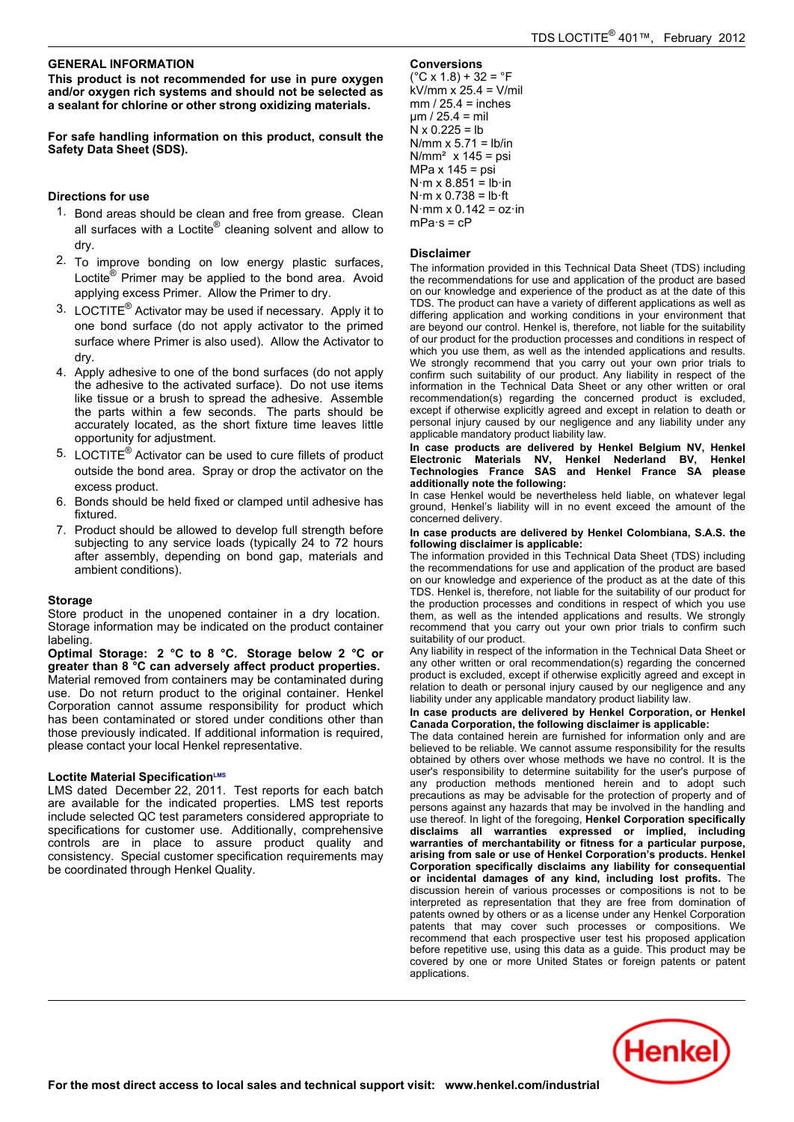# **GENERAL INFORMATION**

**This product is not recommended for use in pure oxygen and/or oxygen rich systems and should not be selected as a sealant for chlorine or other strong oxidizing materials.**

**For safe handling information on this product, consult the Safety Data Sheet (SDS).**

# **Directions for use**

- 1. Bond areas should be clean and free from grease. Clean Bohd areas should be clean and nec nomigredse. Should be substituted at  $\sin \theta$  records allow to −−−<br>dry.
- 2. To improve bonding on low energy plastic surfaces, Loctite<sup>®</sup> Primer may be applied to the bond area. Avoid applying excess Primer. Allow the Primer to dry.
- 3. LOCTITE® Activator may be used if necessary. Apply it to one bond surface (do not apply activator to the primed surface where Primer is also used). Allow the Activator to dry.
- 4. Apply adhesive to one of the bond surfaces (do not apply Apply adhesive to the of the bond surfaces (do not apply<br>the adhesive to the activated surface). Do not use items like tissue or a brush to spread the adhesive. Assemble the parts within a few seconds. The parts should be accurately located, as the short fixture time leaves little opportunity for adjustment.
- 5. LOCTITE® Activator can be used to cure fillets of product outside the bond area. Spray or drop the activator on the excess product.
- 6. Bonds should be held fixed or clamped until adhesive has fixtured.
- 7. Product should be allowed to develop full strength before subjecting to any service loads (typically 24 to 72 hours after assembly, depending on bond gap, materials and anci assembly, ac<sub>h</sub><br>ambient conditions).

### **Storage**

Store product in the unopened container in a dry location. Storage information may be indicated on the product container labeling.

**Optimal Storage: 2 °C to 8 °C. Storage below 2 °C or greater than 8 °C can adversely affect product properties.** Material removed from containers may be contaminated during use. Do not return product to the original container. Henkel ase. Be not retain product to the original container. Hence<br>Corporation cannot assume responsibility for product which has been contaminated or stored under conditions other than those previously indicated. If additional information is required, mose previously indicated: ir duditional imormations<br>please contact your local Henkel representative.

### **Loctite Material SpecificationLMS**

LMS dated December-22, 2011. Test reports for each batch are available for the indicated properties. LMS test reports include selected QC test parameters considered appropriate to specifications for customer use. Additionally, comprehensive controls are in place to assure product quality and consistency. Special customer specification requirements may be coordinated through Henkel Quality.

**Conversions** (°C x 1.8) + 32 = °F kV/mm x 25.4 = V/mil mm / 25.4 = inches µm / 25.4 = mil N x 0.225 = lb N/mm x 5.71 = lb/in N/mm² x 145 = psi MPa x 145 = psi N·m x 8.851 = lb·in N·m x 0.738 = lb·ft N·mm x 0.142 = oz·in mPa·s = cP

### **Disclaimer**

The information provided in this Technical Data Sheet (TDS) including the information provided in this Technical Data Griect (TDO) including<br>the recommendations for use and application of the product are based on our knowledge and experience of the product as at the date of this on our missingle and experience of the product as at the date of this<br>TDS. The product can have a variety of different applications as well as differing application and working conditions in your environment that are beyond our control. Henkel is, therefore, not liable for the suitability of our product for the production processes and conditions in respect of which you use them, as well as the intended applications and results. We strongly recommend that you carry out your own prior trials to<br>confirm such suitability of our product. Any liability in respect of the information in the Technical Data Sheet or any other written or oral recommendation(s) regarding the concerned product is excluded, except if otherwise explicitly agreed and except in relation to death or personal injury caused by our negligence and any liability under any applicable mandatory product liability law.

**In case products are delivered by Henkel Belgium NV, Henkel Electronic Materials NV, Henkel Nederland BV, Henkel Technologies France SAS and Henkel France SA please additionally note the following:**

additionally hote the ronowing.<br>In case Henkel would be nevertheless held liable, on whatever legal ground, Henkel's liability will in no event exceed the amount of the concerned delivery.

#### **In case products are delivered by Henkel Colombiana, S.A.S. the following disclaimer is applicable:**

The information provided in this Technical Data Sheet (TDS) including the information provided in this Technical Data Griect (TDO) including<br>the recommendations for use and application of the product are based on our knowledge and experience of the product as at the date of this TDS. Henkel is, therefore, not liable for the suitability of our product for TBO: Henner is, increases and conditions in respect of which you use the production processes and conditions in respect of which you use<br>them, as well as the intended applications and results. We strongly recommend that you carry out your own prior trials to confirm such suitability of our product.

Any liability in respect of the information in the Technical Data Sheet or any other written or oral recommendation(s) regarding the concerned product is excluded, except if otherwise explicitly agreed and except in relation to death or personal injury caused by our negligence and any liability under any applicable mandatory product liability law.

### **In case products are delivered by Henkel Corporation, or Henkel Canada Corporation, the following disclaimer is applicable:**

The data contained herein are furnished for information only and are believed to be reliable. We cannot assume responsibility for the results obtained by others over whose methods we have no control. It is the user's responsibility to determine suitability for the user's purpose of abor 5 responsibility to determine suitability for the aser's parpose of<br>any production methods mentioned herein and to adopt such precautions as may be advisable for the protection of property and of persons against any hazards that may be involved in the handling and use thereof. In light of the foregoing, **Henkel Corporation specifically disclaims all warranties expressed or implied, including warranties of merchantability or fitness for a particular purpose, arising from sale or use of Henkel Corporation's products. Henkel Corporation specifically disclaims any liability for consequential or incidental damages of any kind, including lost profits.** The discussion herein of various processes or compositions is not to be interpreted as representation that they are free from domination of patents owned by others or as a license under any Henkel Corporation patents that may cover such processes or compositions. We recommend that each prospective user test his proposed application before repetitive use, using this data as a guide. This product may be covered by one or more United States or foreign patents or patent severed by